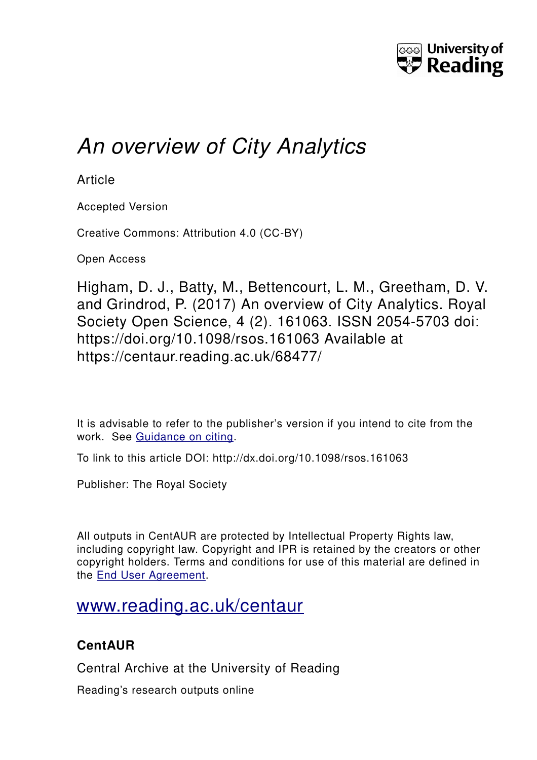

# *An overview of City Analytics*

**Article** 

Accepted Version

Creative Commons: Attribution 4.0 (CC-BY)

Open Access

Higham, D. J., Batty, M., Bettencourt, L. M., Greetham, D. V. and Grindrod, P. (2017) An overview of City Analytics. Royal Society Open Science, 4 (2). 161063. ISSN 2054-5703 doi: https://doi.org/10.1098/rsos.161063 Available at https://centaur.reading.ac.uk/68477/

It is advisable to refer to the publisher's version if you intend to cite from the work. See [Guidance on citing.](http://centaur.reading.ac.uk/71187/10/CentAUR%20citing%20guide.pdf)

To link to this article DOI: http://dx.doi.org/10.1098/rsos.161063

Publisher: The Royal Society

All outputs in CentAUR are protected by Intellectual Property Rights law, including copyright law. Copyright and IPR is retained by the creators or other copyright holders. Terms and conditions for use of this material are defined in the [End User Agreement.](http://centaur.reading.ac.uk/licence)

## [www.reading.ac.uk/centaur](http://www.reading.ac.uk/centaur)

### **CentAUR**

Central Archive at the University of Reading

Reading's research outputs online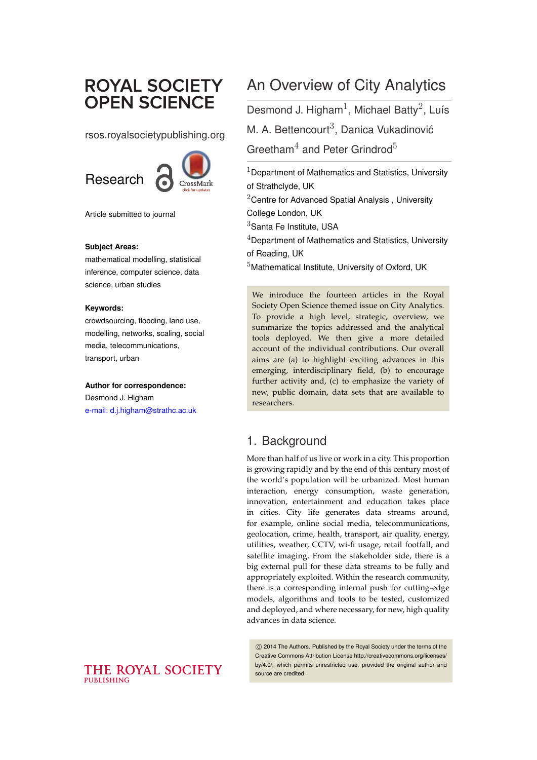## **ROYAL SOCIETY OPEN SCIENCE**

rsos.royalsocietypublishing.org



Article submitted to journal

#### **Subject Areas:**

mathematical modelling, statistical inference, computer science, data science, urban studies

#### **Keywords:**

crowdsourcing, flooding, land use, modelling, networks, scaling, social media, telecommunications, transport, urban

#### **Author for correspondence:**

Desmond J. Higham [e-mail: d.j.higham@strathc.ac.uk](mailto:d.j.higham@strathc.ac.uk)

## An Overview of City Analytics

Desmond J. Higham<sup>1</sup>, Michael Batty<sup>2</sup>, Luís M. A. Bettencourt $3$ . Danica Vukadinović

Greetham<sup>4</sup> and Peter Grindrod<sup>5</sup>

 $1$ Department of Mathematics and Statistics, University of Strathclyde, UK

 $2$ Centre for Advanced Spatial Analysis, University College London, UK

 $3$ Santa Fe Institute, USA

 $4$ Department of Mathematics and Statistics, University of Reading, UK

<sup>5</sup>Mathematical Institute, University of Oxford, UK

We introduce the fourteen articles in the Royal Society Open Science themed issue on City Analytics. To provide a high level, strategic, overview, we summarize the topics addressed and the analytical tools deployed. We then give a more detailed account of the individual contributions. Our overall aims are (a) to highlight exciting advances in this emerging, interdisciplinary field, (b) to encourage further activity and, (c) to emphasize the variety of new, public domain, data sets that are available to researchers.

### 1. Background

More than half of us live or work in a city. This proportion is growing rapidly and by the end of this century most of the world's population will be urbanized. Most human interaction, energy consumption, waste generation, innovation, entertainment and education takes place in cities. City life generates data streams around, for example, online social media, telecommunications, geolocation, crime, health, transport, air quality, energy, utilities, weather, CCTV, wi-fi usage, retail footfall, and satellite imaging. From the stakeholder side, there is a big external pull for these data streams to be fully and appropriately exploited. Within the research community, there is a corresponding internal push for cutting-edge models, algorithms and tools to be tested, customized and deployed, and where necessary, for new, high quality advances in data science.

c 2014 The Authors. Published by the Royal Society under the terms of the Creative Commons Attribution License http://creativecommons.org/licenses/ by/4.0/, which permits unrestricted use, provided the original author and source are credited.

#### THE ROYAL SOCIETY PUBLISHING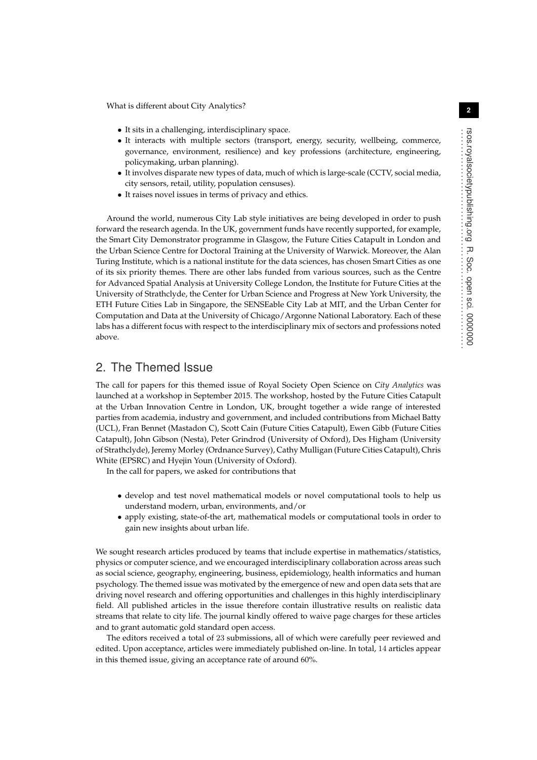What is different about City Analytics?

- *•* It sits in a challenging, interdisciplinary space.
- It interacts with multiple sectors (transport, energy, security, wellbeing, commerce, governance, environment, resilience) and key professions (architecture, engineering, policymaking, urban planning).
- *•* It involves disparate new types of data, much of which is large-scale (CCTV, social media, city sensors, retail, utility, population censuses).
- *•* It raises novel issues in terms of privacy and ethics.

Around the world, numerous City Lab style initiatives are being developed in order to push forward the research agenda. In the UK, government funds have recently supported, for example, the Smart City Demonstrator programme in Glasgow, the Future Cities Catapult in London and the Urban Science Centre for Doctoral Training at the University of Warwick. Moreover, the Alan Turing Institute, which is a national institute for the data sciences, has chosen Smart Cities as one of its six priority themes. There are other labs funded from various sources, such as the Centre for Advanced Spatial Analysis at University College London, the Institute for Future Cities at the University of Strathclyde, the Center for Urban Science and Progress at New York University, the ETH Future Cities Lab in Singapore, the SENSEable City Lab at MIT, and the Urban Center for Computation and Data at the University of Chicago/Argonne National Laboratory. Each of these labs has a different focus with respect to the interdisciplinary mix of sectors and professions noted above.

#### 2. The Themed Issue

The call for papers for this themed issue of Royal Society Open Science on *City Analytics* was launched at a workshop in September 2015. The workshop, hosted by the Future Cities Catapult at the Urban Innovation Centre in London, UK, brought together a wide range of interested parties from academia, industry and government, and included contributions from Michael Batty (UCL), Fran Bennet (Mastadon C), Scott Cain (Future Cities Catapult), Ewen Gibb (Future Cities Catapult), John Gibson (Nesta), Peter Grindrod (University of Oxford), Des Higham (University of Strathclyde), Jeremy Morley (Ordnance Survey), Cathy Mulligan (Future Cities Catapult), Chris White (EPSRC) and Hyejin Youn (University of Oxford).

In the call for papers, we asked for contributions that

- develop and test novel mathematical models or novel computational tools to help us understand modern, urban, environments, and/or
- *•* apply existing, state-of-the art, mathematical models or computational tools in order to gain new insights about urban life.

We sought research articles produced by teams that include expertise in mathematics/statistics, physics or computer science, and we encouraged interdisciplinary collaboration across areas such as social science, geography, engineering, business, epidemiology, health informatics and human psychology. The themed issue was motivated by the emergence of new and open data sets that are driving novel research and offering opportunities and challenges in this highly interdisciplinary field. All published articles in the issue therefore contain illustrative results on realistic data streams that relate to city life. The journal kindly offered to waive page charges for these articles and to grant automatic gold standard open access.

The editors received a total of 23 submissions, all of which were carefully peer reviewed and edited. Upon acceptance, articles were immediately published on-line. In total, 14 articles appear in this themed issue, giving an acceptance rate of around 60%.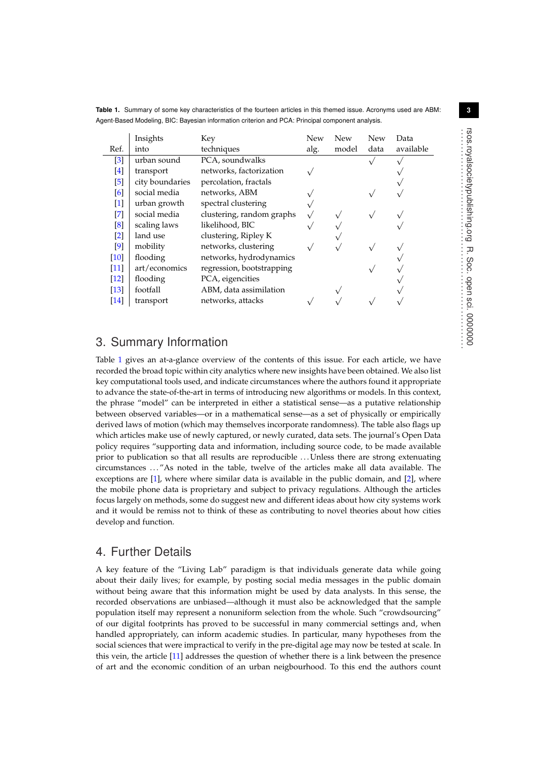<span id="page-3-0"></span>**Table 1.** Summary of some key characteristics of the fourteen articles in this themed issue. Acronyms used are ABM: Agent-Based Modeling, BIC: Bayesian information criterion and PCA: Principal component analysis.

|                                                                                                                                                                                                                                                     | Insights        | Key                       | New  | <b>New</b> | New  | Data      |
|-----------------------------------------------------------------------------------------------------------------------------------------------------------------------------------------------------------------------------------------------------|-----------------|---------------------------|------|------------|------|-----------|
| Ref.                                                                                                                                                                                                                                                | into            | techniques                | alg. | model      | data | available |
| $\left[3\right]$                                                                                                                                                                                                                                    | urban sound     | PCA, soundwalks           |      |            |      |           |
| [4]                                                                                                                                                                                                                                                 | transport       | networks, factorization   |      |            |      |           |
| $[5]$                                                                                                                                                                                                                                               | city boundaries | percolation, fractals     |      |            |      |           |
| [6]                                                                                                                                                                                                                                                 | social media    | networks, ABM             |      |            |      |           |
| $[1] % \includegraphics[width=0.9\columnwidth]{figures/fig_10.pdf} \caption{The graph $\mathcal{N}_1$ is a function of the number of~\textit{N}_1$ (left) and the number of~\textit{N}_2$ (right) are shown in \cite{N}_1$ (right).} \label{fig:1}$ | urban growth    | spectral clustering       |      |            |      |           |
| $\left[ 7\right]$                                                                                                                                                                                                                                   | social media    | clustering, random graphs |      |            |      |           |
| [8]                                                                                                                                                                                                                                                 | scaling laws    | likelihood, BIC           |      |            |      |           |
| $\left[2\right]$                                                                                                                                                                                                                                    | land use        | clustering, Ripley K      |      |            |      |           |
| $\left[9\right]$                                                                                                                                                                                                                                    | mobility        | networks, clustering      |      |            |      |           |
| [10]                                                                                                                                                                                                                                                | flooding        | networks, hydrodynamics   |      |            |      |           |
| $[11]$                                                                                                                                                                                                                                              | art/economics   | regression, bootstrapping |      |            |      |           |
| $[12]$                                                                                                                                                                                                                                              | flooding        | PCA, eigencities          |      |            |      |           |
| $[13]$                                                                                                                                                                                                                                              | footfall        | ABM, data assimilation    |      |            |      |           |
| $[14]$                                                                                                                                                                                                                                              | transport       | networks, attacks         |      |            |      |           |
|                                                                                                                                                                                                                                                     |                 |                           |      |            |      |           |

### 3. Summary Information

Table [1](#page-3-0) gives an at-a-glance overview of the contents of this issue. For each article, we have recorded the broad topic within city analytics where new insights have been obtained. We also list key computational tools used, and indicate circumstances where the authors found it appropriate to advance the state-of-the-art in terms of introducing new algorithms or models. In this context, the phrase "model" can be interpreted in either a statistical sense—as a putative relationship between observed variables—or in a mathematical sense—as a set of physically or empirically derived laws of motion (which may themselves incorporate randomness). The table also flags up which articles make use of newly captured, or newly curated, data sets. The journal's Open Data policy requires "supporting data and information, including source code, to be made available prior to publication so that all results are reproducible . . . Unless there are strong extenuating circumstances . . . "As noted in the table, twelve of the articles make all data available. The exceptions are  $[1]$ , where where similar data is available in the public domain, and  $[2]$ , where the mobile phone data is proprietary and subject to privacy regulations. Although the articles focus largely on methods, some do suggest new and different ideas about how city systems work and it would be remiss not to think of these as contributing to novel theories about how cities develop and function.

### 4. Further Details

A key feature of the "Living Lab" paradigm is that individuals generate data while going about their daily lives; for example, by posting social media messages in the public domain without being aware that this information might be used by data analysts. In this sense, the recorded observations are unbiased—although it must also be acknowledged that the sample population itself may represent a nonuniform selection from the whole. Such "crowdsourcing" of our digital footprints has proved to be successful in many commercial settings and, when handled appropriately, can inform academic studies. In particular, many hypotheses from the social sciences that were impractical to verify in the pre-digital age may now be tested at scale. In this vein, the article [\[11\]](#page-7-1) addresses the question of whether there is a link between the presence of art and the economic condition of an urban neigbourhood. To this end the authors count ..............................................................

R.

Soc. open sci.

0000000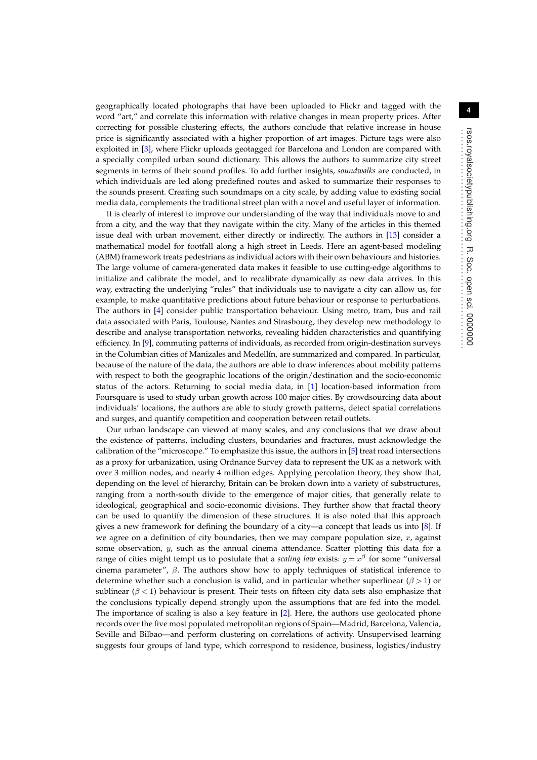geographically located photographs that have been uploaded to Flickr and tagged with the word "art," and correlate this information with relative changes in mean property prices. After correcting for possible clustering effects, the authors conclude that relative increase in house price is significantly associated with a higher proportion of art images. Picture tags were also exploited in [\[3\]](#page-6-0), where Flickr uploads geotagged for Barcelona and London are compared with a specially compiled urban sound dictionary. This allows the authors to summarize city street segments in terms of their sound profiles. To add further insights, *soundwalks* are conducted, in which individuals are led along predefined routes and asked to summarize their responses to the sounds present. Creating such soundmaps on a city scale, by adding value to existing social media data, complements the traditional street plan with a novel and useful layer of information.

It is clearly of interest to improve our understanding of the way that individuals move to and from a city, and the way that they navigate within the city. Many of the articles in this themed issue deal with urban movement, either directly or indirectly. The authors in [\[13\]](#page-7-3) consider a mathematical model for footfall along a high street in Leeds. Here an agent-based modeling (ABM) framework treats pedestrians as individual actors with their own behaviours and histories. The large volume of camera-generated data makes it feasible to use cutting-edge algorithms to initialize and calibrate the model, and to recalibrate dynamically as new data arrives. In this way, extracting the underlying "rules" that individuals use to navigate a city can allow us, for example, to make quantitative predictions about future behaviour or response to perturbations. The authors in [\[4\]](#page-6-1) consider public transportation behaviour. Using metro, tram, bus and rail data associated with Paris, Toulouse, Nantes and Strasbourg, they develop new methodology to describe and analyse transportation networks, revealing hidden characteristics and quantifying efficiency. In [\[9\]](#page-6-8), commuting patterns of individuals, as recorded from origin-destination surveys in the Columbian cities of Manizales and Medellín, are summarized and compared. In particular, because of the nature of the data, the authors are able to draw inferences about mobility patterns with respect to both the geographic locations of the origin/destination and the socio-economic status of the actors. Returning to social media data, in [\[1\]](#page-6-4) location-based information from Foursquare is used to study urban growth across 100 major cities. By crowdsourcing data about individuals' locations, the authors are able to study growth patterns, detect spatial correlations and surges, and quantify competition and cooperation between retail outlets.

Our urban landscape can viewed at many scales, and any conclusions that we draw about the existence of patterns, including clusters, boundaries and fractures, must acknowledge the calibration of the "microscope." To emphasize this issue, the authors in [\[5\]](#page-6-2) treat road intersections as a proxy for urbanization, using Ordnance Survey data to represent the UK as a network with over 3 million nodes, and nearly 4 million edges. Applying percolation theory, they show that, depending on the level of hierarchy, Britain can be broken down into a variety of substructures, ranging from a north-south divide to the emergence of major cities, that generally relate to ideological, geographical and socio-economic divisions. They further show that fractal theory can be used to quantify the dimension of these structures. It is also noted that this approach gives a new framework for defining the boundary of a city—a concept that leads us into [\[8\]](#page-6-6). If we agree on a definition of city boundaries, then we may compare population size, *x*, against some observation, *y*, such as the annual cinema attendance. Scatter plotting this data for a range of cities might tempt us to postulate that a *scaling law* exists:  $y = x^{\beta}$  for some "universal" cinema parameter",  $\beta$ . The authors show how to apply techniques of statistical inference to determine whether such a conclusion is valid, and in particular whether superlinear  $(\beta > 1)$  or sublinear  $(\beta < 1)$  behaviour is present. Their tests on fifteen city data sets also emphasize that the conclusions typically depend strongly upon the assumptions that are fed into the model. The importance of scaling is also a key feature in [\[2\]](#page-6-7). Here, the authors use geolocated phone records over the five most populated metropolitan regions of Spain—Madrid, Barcelona, Valencia, Seville and Bilbao—and perform clustering on correlations of activity. Unsupervised learning suggests four groups of land type, which correspond to residence, business, logistics/industry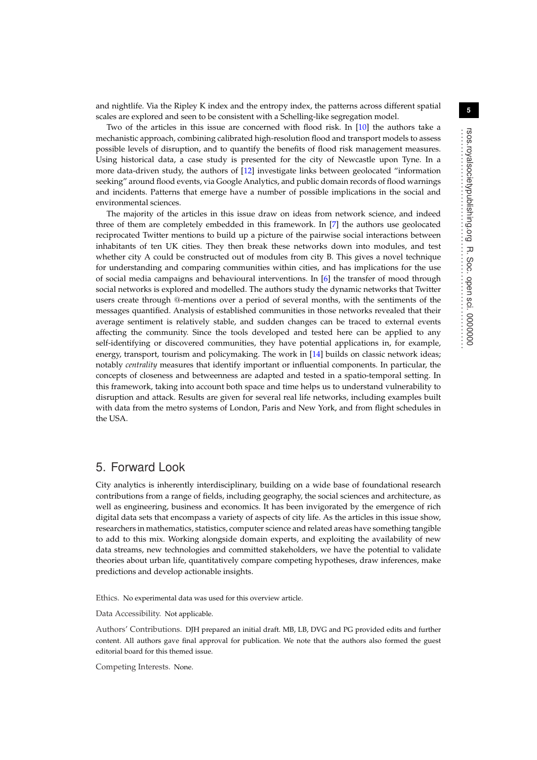and nightlife. Via the Ripley K index and the entropy index, the patterns across different spatial scales are explored and seen to be consistent with a Schelling-like segregation model.

Two of the articles in this issue are concerned with flood risk. In [\[10\]](#page-7-0) the authors take a mechanistic approach, combining calibrated high-resolution flood and transport models to assess possible levels of disruption, and to quantify the benefits of flood risk management measures. Using historical data, a case study is presented for the city of Newcastle upon Tyne. In a more data-driven study, the authors of [\[12\]](#page-7-2) investigate links between geolocated "information seeking" around flood events, via Google Analytics, and public domain records of flood warnings and incidents. Patterns that emerge have a number of possible implications in the social and environmental sciences.

The majority of the articles in this issue draw on ideas from network science, and indeed three of them are completely embedded in this framework. In [\[7\]](#page-6-5) the authors use geolocated reciprocated Twitter mentions to build up a picture of the pairwise social interactions between inhabitants of ten UK cities. They then break these networks down into modules, and test whether city A could be constructed out of modules from city B. This gives a novel technique for understanding and comparing communities within cities, and has implications for the use of social media campaigns and behavioural interventions. In [\[6\]](#page-6-3) the transfer of mood through social networks is explored and modelled. The authors study the dynamic networks that Twitter users create through @-mentions over a period of several months, with the sentiments of the messages quantified. Analysis of established communities in those networks revealed that their average sentiment is relatively stable, and sudden changes can be traced to external events affecting the community. Since the tools developed and tested here can be applied to any self-identifying or discovered communities, they have potential applications in, for example, energy, transport, tourism and policymaking. The work in [\[14\]](#page-7-4) builds on classic network ideas; notably *centrality* measures that identify important or influential components. In particular, the concepts of closeness and betweenness are adapted and tested in a spatio-temporal setting. In this framework, taking into account both space and time helps us to understand vulnerability to disruption and attack. Results are given for several real life networks, including examples built with data from the metro systems of London, Paris and New York, and from flight schedules in the USA.

#### 5. Forward Look

City analytics is inherently interdisciplinary, building on a wide base of foundational research contributions from a range of fields, including geography, the social sciences and architecture, as well as engineering, business and economics. It has been invigorated by the emergence of rich digital data sets that encompass a variety of aspects of city life. As the articles in this issue show, researchers in mathematics, statistics, computer science and related areas have something tangible to add to this mix. Working alongside domain experts, and exploiting the availability of new data streams, new technologies and committed stakeholders, we have the potential to validate theories about urban life, quantitatively compare competing hypotheses, draw inferences, make predictions and develop actionable insights.

Ethics. No experimental data was used for this overview article.

Data Accessibility. Not applicable.

Authors' Contributions. DJH prepared an initial draft. MB, LB, DVG and PG provided edits and further content. All authors gave final approval for publication. We note that the authors also formed the guest editorial board for this themed issue.

Competing Interests. None.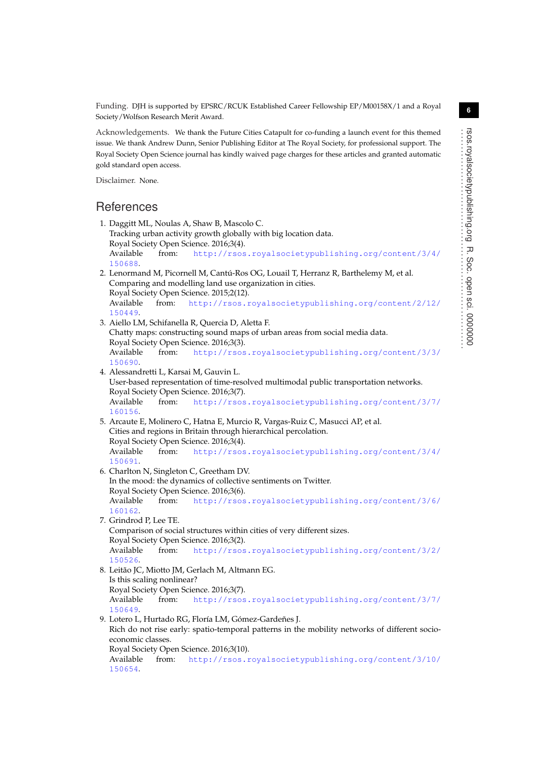Funding. DJH is supported by EPSRC/RCUK Established Career Fellowship EP/M00158X/1 and a Royal Society/Wolfson Research Merit Award.

Acknowledgements. We thank the Future Cities Catapult for co-funding a launch event for this themed issue. We thank Andrew Dunn, Senior Publishing Editor at The Royal Society, for professional support. The Royal Society Open Science journal has kindly waived page charges for these articles and granted automatic gold standard open access.

Disclaimer. None.

### **References**

<span id="page-6-8"></span><span id="page-6-7"></span><span id="page-6-6"></span><span id="page-6-5"></span><span id="page-6-4"></span><span id="page-6-3"></span><span id="page-6-2"></span><span id="page-6-1"></span><span id="page-6-0"></span>1. Daggitt ML, Noulas A, Shaw B, Mascolo C. Tracking urban activity growth globally with big location data. Royal Society Open Science. 2016;3(4). Available from: [http://rsos.royalsocietypublishing.org/content/3/4/](http://rsos.royalsocietypublishing.org/content/3/4/150688) [150688](http://rsos.royalsocietypublishing.org/content/3/4/150688). 2. Lenormand M, Picornell M, Cantú-Ros OG, Louail T, Herranz R, Barthelemy M, et al. Comparing and modelling land use organization in cities. Royal Society Open Science. 2015;2(12). Available from: [http://rsos.royalsocietypublishing.org/content/2/12/](http://rsos.royalsocietypublishing.org/content/2/12/150449) [150449](http://rsos.royalsocietypublishing.org/content/2/12/150449). 3. Aiello LM, Schifanella R, Quercia D, Aletta F. Chatty maps: constructing sound maps of urban areas from social media data. Royal Society Open Science. 2016;3(3). Available from: [http://rsos.royalsocietypublishing.org/content/3/3/](http://rsos.royalsocietypublishing.org/content/3/3/150690) [150690](http://rsos.royalsocietypublishing.org/content/3/3/150690). 4. Alessandretti L, Karsai M, Gauvin L. User-based representation of time-resolved multimodal public transportation networks. Royal Society Open Science. 2016;3(7). Available from: [http://rsos.royalsocietypublishing.org/content/3/7/](http://rsos.royalsocietypublishing.org/content/3/7/160156) [160156](http://rsos.royalsocietypublishing.org/content/3/7/160156). 5. Arcaute E, Molinero C, Hatna E, Murcio R, Vargas-Ruiz C, Masucci AP, et al. Cities and regions in Britain through hierarchical percolation. Royal Society Open Science. 2016;3(4). Available from: [http://rsos.royalsocietypublishing.org/content/3/4/](http://rsos.royalsocietypublishing.org/content/3/4/150691) [150691](http://rsos.royalsocietypublishing.org/content/3/4/150691). 6. Charlton N, Singleton C, Greetham DV. In the mood: the dynamics of collective sentiments on Twitter. Royal Society Open Science. 2016;3(6). Available from: [http://rsos.royalsocietypublishing.org/content/3/6/](http://rsos.royalsocietypublishing.org/content/3/6/160162) [160162](http://rsos.royalsocietypublishing.org/content/3/6/160162). 7. Grindrod P, Lee TE. Comparison of social structures within cities of very different sizes. Royal Society Open Science. 2016;3(2). Available from: [http://rsos.royalsocietypublishing.org/content/3/2/](http://rsos.royalsocietypublishing.org/content/3/2/150526) [150526](http://rsos.royalsocietypublishing.org/content/3/2/150526). 8. Leitão JC, Miotto JM, Gerlach M, Altmann EG. Is this scaling nonlinear? Royal Society Open Science. 2016;3(7). Available from: [http://rsos.royalsocietypublishing.org/content/3/7/](http://rsos.royalsocietypublishing.org/content/3/7/150649) [150649](http://rsos.royalsocietypublishing.org/content/3/7/150649). 9. Lotero L, Hurtado RG, Floría LM, Gómez-Gardeñes J. Rich do not rise early: spatio-temporal patterns in the mobility networks of different socioeconomic classes. Royal Society Open Science. 2016;3(10). Available from: [http://rsos.royalsocietypublishing.org/content/3/10/](http://rsos.royalsocietypublishing.org/content/3/10/150654) [150654](http://rsos.royalsocietypublishing.org/content/3/10/150654).